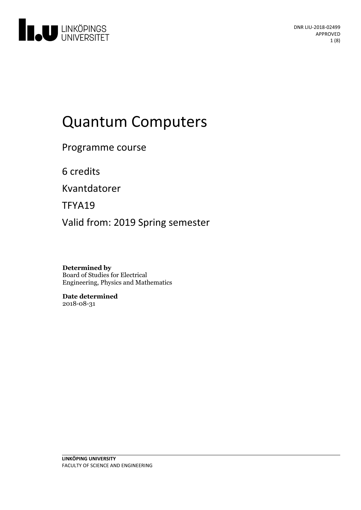

# Quantum Computers

Programme course

6 credits

Kvantdatorer

TFYA19

Valid from: 2019 Spring semester

**Determined by** Board of Studies for Electrical Engineering, Physics and Mathematics

**Date determined** 2018-08-31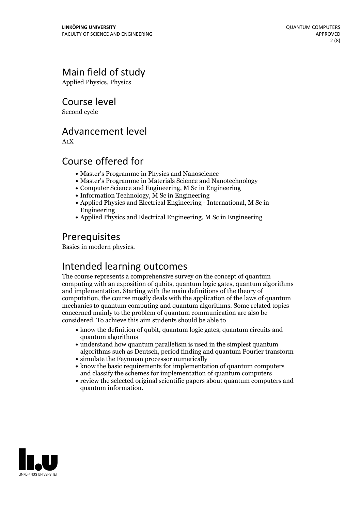# Main field of study

Applied Physics, Physics

Course level

Second cycle

### Advancement level

A1X

## Course offered for

- Master's Programme in Physics and Nanoscience
- Master's Programme in Materials Science and Nanotechnology
- Computer Science and Engineering, M Sc in Engineering
- $\bullet$  Information Technology, M Sc in Engineering
- Applied Physics and Electrical Engineering International, M Sc in Engineering
- Applied Physics and Electrical Engineering, M Sc in Engineering

# Prerequisites

Basics in modern physics.

## Intended learning outcomes

The course represents a comprehensive survey on the concept of quantum computing with an exposition of qubits, quantum logic gates, quantum algorithms and implementation. Starting with the main definitions of the theory of computation, the course mostly deals with the application of the laws of quantum mechanics to quantum computing and quantum algorithms. Some related topics concerned mainly to the problem of quantum communication are also be considered. To achieve this aim students should be able to

- know the definition of qubit, quantum logic gates, quantum circuits and quantum algorithms
- understand how quantum parallelism is used in the simplest quantum algorithms such as Deutsch, period finding and quantum Fourier transform
- simulate the Feynman processor numerically
- know the basic requirements for implementation of quantum computers and classify the schemes for implementation of quantum computers
- review the selected original scientific papers about quantum computers and quantum information.

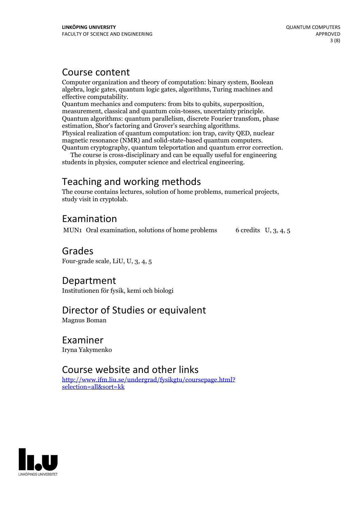### Course content

Computer organization and theory of computation: binary system, Boolean algebra, logic gates, quantum logic gates, algorithms, Turing machines and

effective computability.<br>Quantum mechanics and computers: from bits to qubits, superposition,<br>measurement, classical and quantum coin-tosses, uncertainty principle.<br>Quantum algorithms: quantum parallelism, discrete Fourier estimation, Shor's factoring and Grover's searching algorithms.<br>Physical realization of quantum computation: ion trap, cavity QED, nuclear<br>magnetic resonance (NMR) and solid-state-based quantum computers.

Quantum cryptography, quantum teleportation and quantum error correction.<br>The course is cross-disciplinary and can be equally useful for engineering students in physics, computer science and electrical engineering.

# Teaching and working methods

The course contains lectures, solution of home problems, numerical projects, study visit in cryptolab.

## Examination

MUN1 Oral examination, solutions of home problems  $\qquad 6$  credits U, 3, 4, 5

### Grades

Four-grade scale, LiU, U, 3, 4, 5

### Department

Institutionen för fysik, kemi och biologi

### Director of Studies or equivalent

Magnus Boman

### Examiner

Iryna Yakymenko

### Course website and other links

[http://www.ifm.liu.se/undergrad/fysikgtu/coursepage.html?](http://www.ifm.liu.se/undergrad/fysikgtu/coursepage.html?selection=all&sort=kk) selection=all&sort=kk

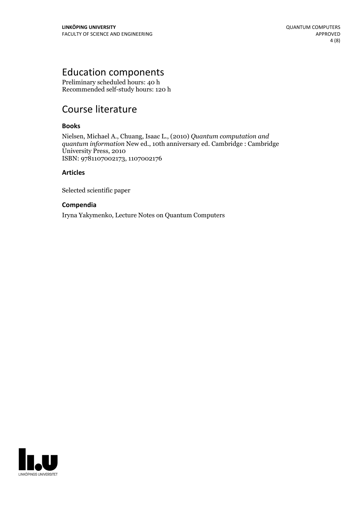# Education components

Preliminary scheduled hours: 40 h Recommended self-study hours: 120 h

# Course literature

#### **Books**

Nielsen, Michael A., Chuang, Isaac L., (2010) *Quantum computation and quantum information* New ed., 10th anniversary ed.Cambridge : Cambridge University Press, 2010 ISBN: 9781107002173, 1107002176

#### **Articles**

Selected scientific paper

#### **Compendia**

Iryna Yakymenko, Lecture Notes on Quantum Computers

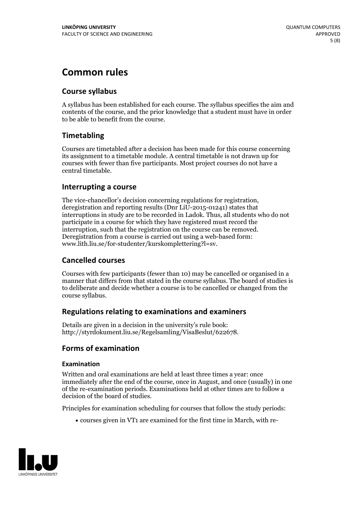# **Common rules**

### **Course syllabus**

A syllabus has been established for each course. The syllabus specifies the aim and contents of the course, and the prior knowledge that a student must have in order to be able to benefit from the course.

### **Timetabling**

Courses are timetabled after a decision has been made for this course concerning its assignment to a timetable module. A central timetable is not drawn up for courses with fewer than five participants. Most project courses do not have a central timetable.

#### **Interrupting a course**

The vice-chancellor's decision concerning regulations for registration, deregistration and reporting results (Dnr LiU-2015-01241) states that interruptions in study are to be recorded in Ladok. Thus, all students who do not participate in a course for which they have registered must record the interruption, such that the registration on the course can be removed. Deregistration from <sup>a</sup> course is carried outusing <sup>a</sup> web-based form: www.lith.liu.se/for-studenter/kurskomplettering?l=sv.

#### **Cancelled courses**

Courses with few participants (fewer than 10) may be cancelled or organised in a manner that differs from that stated in the course syllabus. The board of studies is to deliberate and decide whether a course is to be cancelled orchanged from the course syllabus.

#### **Regulations relatingto examinations and examiners**

Details are given in a decision in the university's rule book: http://styrdokument.liu.se/Regelsamling/VisaBeslut/622678.

#### **Forms of examination**

#### **Examination**

Written and oral examinations are held at least three times a year: once immediately after the end of the course, once in August, and once (usually) in one of the re-examination periods. Examinations held at other times are to follow a decision of the board of studies.

Principles for examination scheduling for courses that follow the study periods:

courses given in VT1 are examined for the first time in March, with re-

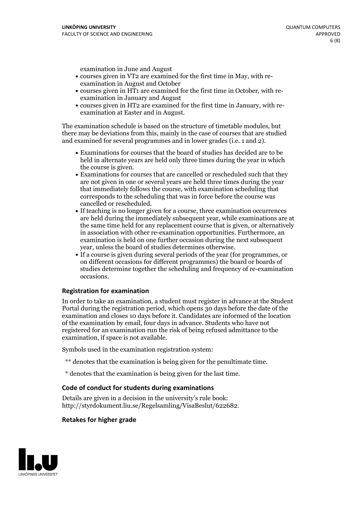examination in June and August

- courses given in VT2 are examined for the first time in May, with re-examination in August and October
- courses given in HT1 are examined for the first time in October, with re-examination in January and August
- courses given in HT2 are examined for the first time in January, with re-examination at Easter and in August.

The examination schedule is based on the structure of timetable modules, but there may be deviations from this, mainly in the case of courses that are studied and examined for several programmes and in lower grades (i.e. 1 and 2).

- Examinations for courses that the board of studies has decided are to be held in alternate years are held only three times during the year in which
- the course is given.<br>• Examinations for courses that are cancelled or rescheduled such that they are not given in one or several years are held three times during the year that immediately follows the course, with examination scheduling that corresponds to the scheduling that was in force before the course was cancelled or rescheduled.<br>• If teaching is no longer given for a course, three examination occurrences
- are held during the immediately subsequent year, while examinations are at the same time held for any replacement course that is given, or alternatively in association with other re-examination opportunities. Furthermore, an examination is held on one further occasion during the next subsequent year, unless the board of studies determines otherwise.<br>• If a course is given during several periods of the year (for programmes, or
- on different occasions for different programmes) the board orboards of studies determine together the scheduling and frequency of re-examination occasions.

#### **Registration for examination**

In order to take an examination, a student must register in advance at the Student Portal during the registration period, which opens 30 days before the date of the examination and closes 10 days before it. Candidates are informed of the location of the examination by email, four days in advance. Students who have not registered for an examination run the risk of being refused admittance to the examination, if space is not available.

Symbols used in the examination registration system:

- \*\* denotes that the examination is being given for the penultimate time.
- \* denotes that the examination is being given for the last time.

#### **Code of conduct for students during examinations**

Details are given in a decision in the university's rule book: http://styrdokument.liu.se/Regelsamling/VisaBeslut/622682.

#### **Retakes for higher grade**

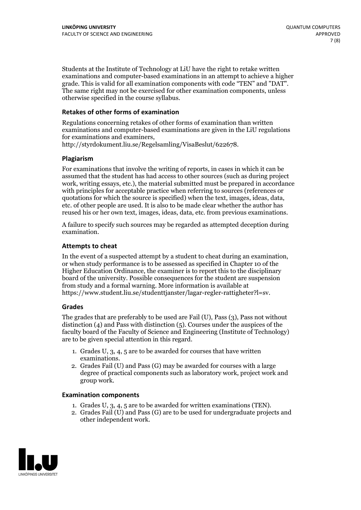Students at the Institute of Technology at LiU have the right to retake written examinations and computer-based examinations in an attempt to achieve a higher grade. This is valid for all examination components with code "TEN" and "DAT". The same right may not be exercised for other examination components, unless otherwise specified in the course syllabus.

#### **Retakes of other forms of examination**

Regulations concerning retakes of other forms of examination than written examinations and computer-based examinations are given in the LiU regulations for examinations and examiners, http://styrdokument.liu.se/Regelsamling/VisaBeslut/622678.

#### **Plagiarism**

For examinations that involve the writing of reports, in cases in which it can be assumed that the student has had access to other sources (such as during project work, writing essays, etc.), the material submitted must be prepared in accordance with principles for acceptable practice when referring to sources (references or quotations for which the source is specified) when the text, images, ideas, data, etc. of other people are used. It is also to be made clear whether the author has reused his or her own text, images, ideas, data, etc. from previous examinations.

A failure to specify such sources may be regarded as attempted deception during examination.

#### **Attempts to cheat**

In the event of <sup>a</sup> suspected attempt by <sup>a</sup> student to cheat during an examination, or when study performance is to be assessed as specified in Chapter <sup>10</sup> of the Higher Education Ordinance, the examiner is to report this to the disciplinary board of the university. Possible consequences for the student are suspension from study and a formal warning. More information is available at https://www.student.liu.se/studenttjanster/lagar-regler-rattigheter?l=sv.

#### **Grades**

The grades that are preferably to be used are Fail (U), Pass (3), Pass not without distinction  $(4)$  and Pass with distinction  $(5)$ . Courses under the auspices of the faculty board of the Faculty of Science and Engineering (Institute of Technology) are to be given special attention in this regard.

- 1. Grades U, 3, 4, 5 are to be awarded for courses that have written
- examinations. 2. Grades Fail (U) and Pass (G) may be awarded for courses with <sup>a</sup> large degree of practical components such as laboratory work, project work and group work.

#### **Examination components**

- 
- 1. Grades U, 3, 4, <sup>5</sup> are to be awarded for written examinations (TEN). 2. Grades Fail (U) and Pass (G) are to be used for undergraduate projects and other independent work.